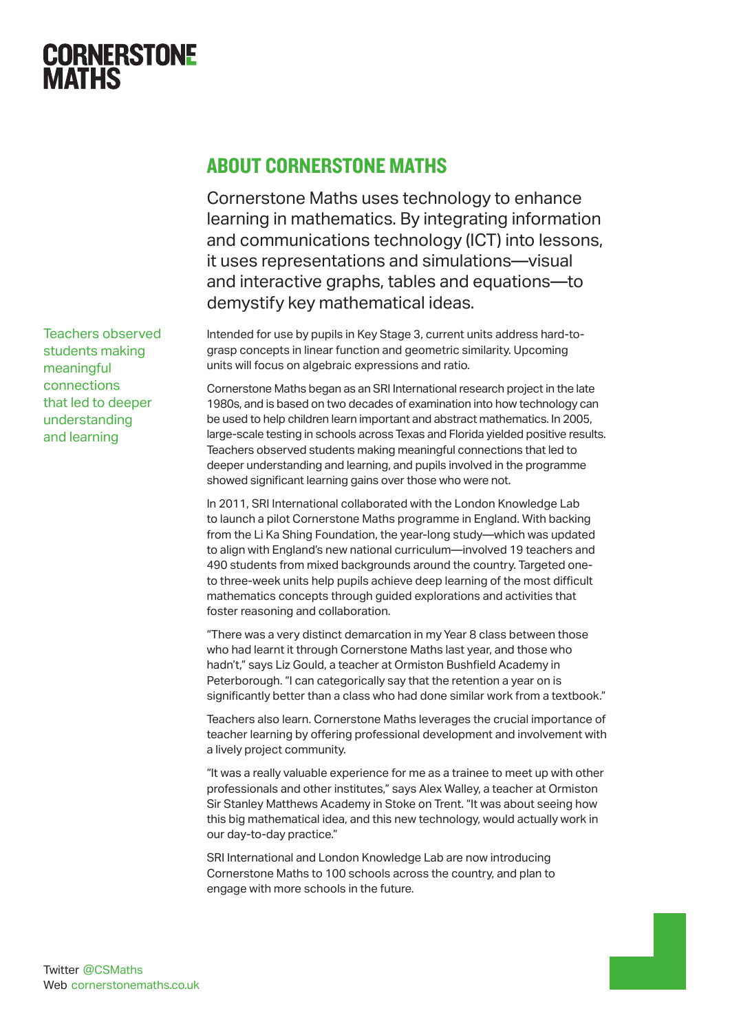

Teachers observed students making meaningful connections that led to deeper understanding and learning

## About Cornerstone Maths

Cornerstone Maths uses technology to enhance learning in mathematics. By integrating information and communications technology (ICT) into lessons, it uses representations and simulations—visual and interactive graphs, tables and equations—to demystify key mathematical ideas.

Intended for use by pupils in Key Stage 3, current units address hard-tograsp concepts in linear function and geometric similarity. Upcoming units will focus on algebraic expressions and ratio.

Cornerstone Maths began as an SRI International research project in the late 1980s, and is based on two decades of examination into how technology can be used to help children learn important and abstract mathematics. In 2005, large-scale testing in schools across Texas and Florida yielded positive results. Teachers observed students making meaningful connections that led to deeper understanding and learning, and pupils involved in the programme showed significant learning gains over those who were not.

In 2011, SRI International collaborated with the London Knowledge Lab to launch a pilot Cornerstone Maths programme in England. With backing from the Li Ka Shing Foundation, the year-long study—which was updated to align with England's new national curriculum—involved 19 teachers and 490 students from mixed backgrounds around the country. Targeted oneto three-week units help pupils achieve deep learning of the most difficult mathematics concepts through guided explorations and activities that foster reasoning and collaboration.

"There was a very distinct demarcation in my Year 8 class between those who had learnt it through Cornerstone Maths last year, and those who hadn't," says Liz Gould, a teacher at Ormiston Bushfield Academy in Peterborough. "I can categorically say that the retention a year on is significantly better than a class who had done similar work from a textbook."

Teachers also learn. Cornerstone Maths leverages the crucial importance of teacher learning by offering professional development and involvement with a lively project community.

"It was a really valuable experience for me as a trainee to meet up with other professionals and other institutes," says Alex Walley, a teacher at Ormiston Sir Stanley Matthews Academy in Stoke on Trent. "It was about seeing how this big mathematical idea, and this new technology, would actually work in our day-to-day practice."

SRI International and London Knowledge Lab are now introducing Cornerstone Maths to 100 schools across the country, and plan to engage with more schools in the future.